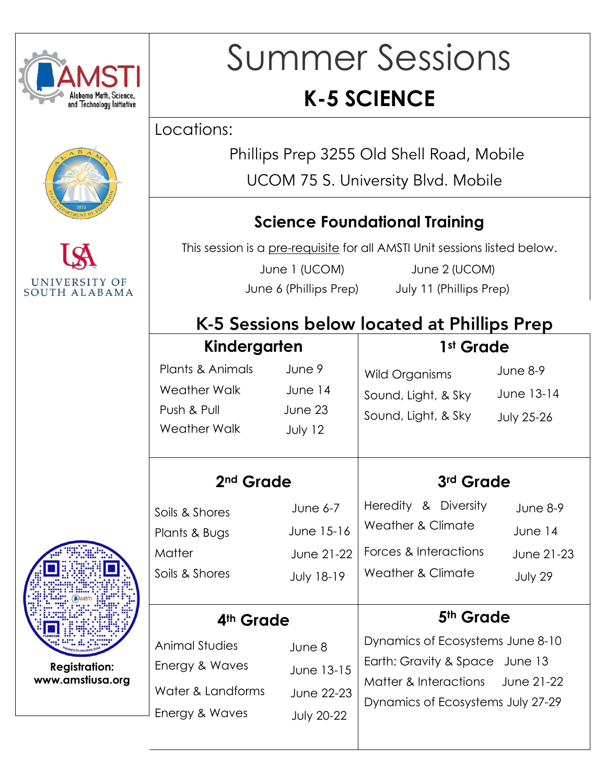





## Summer Sessions **K-5 SCIENCE**

Locations:

Phillips Prep 3255 Old Shell Road, Mobile

UCOM 75 S. University Blvd. Mobile

#### **Science Foundational Training**

This session is a pre-requisite for all AMSTI Unit sessions listed below.

June 1 (UCOM) June 2 (UCOM) June 6 (Phillips Prep) July 11 (Phillips Prep)

#### K-5 Sessions below located at Phillips Prep

| Kindergarten                                                                                                                                                |                                                             | 1st Grade                                                                                                                                                            |                                                |  |
|-------------------------------------------------------------------------------------------------------------------------------------------------------------|-------------------------------------------------------------|----------------------------------------------------------------------------------------------------------------------------------------------------------------------|------------------------------------------------|--|
| Plants & Animals<br>Weather Walk<br>Push & Pull<br>Weather Walk                                                                                             | June 9<br>June 14<br>June 23<br>July 12                     | Wild Organisms<br>Sound, Light, & Sky<br>Sound, Light, & Sky                                                                                                         | June $8-9$<br>June 13-14<br><b>July 25-26</b>  |  |
| 2 <sup>nd</sup> Grade                                                                                                                                       |                                                             | 3rd Grade                                                                                                                                                            |                                                |  |
| Soils & Shores<br>Plants & Bugs<br><b>Matter</b><br>Soils & Shores                                                                                          | June $6-7$<br>June 15-16<br>June 21-22<br><b>July 18-19</b> | Heredity & Diversity<br><b>Weather &amp; Climate</b><br>Forces & Interactions<br>Weather & Climate                                                                   | June $8-9$<br>June 14<br>June 21-23<br>July 29 |  |
| 4 <sup>th</sup> Grade<br>Animal Studies<br>June 8<br>Energy & Waves<br>June 13-15<br>Water & Landforms<br>June 22-23<br>Energy & Waves<br><b>July 20-22</b> |                                                             | 5 <sup>th</sup> Grade<br>Dynamics of Ecosystems June 8-10<br>Earth: Gravity & Space June 13<br>Matter & Interactions June 21-22<br>Dynamics of Ecosystems July 27-29 |                                                |  |



**Registration: www.amstiusa.org**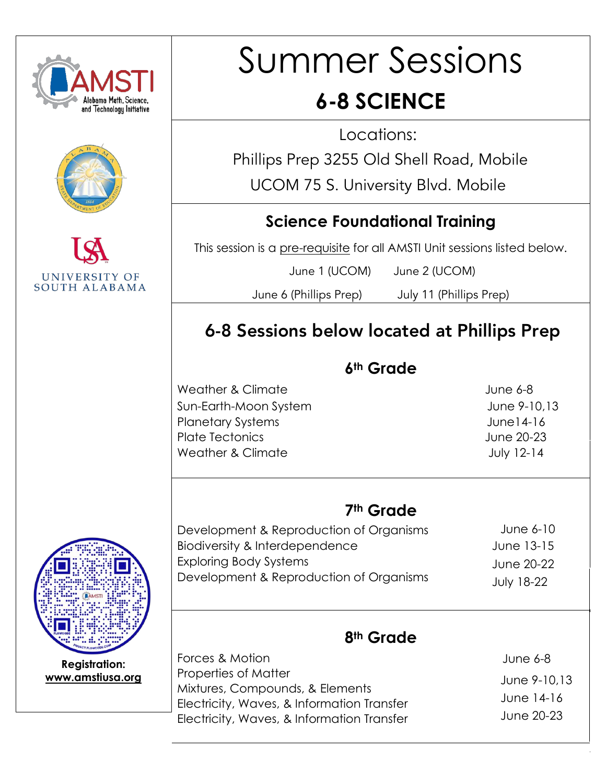

# Summer Sessions

### **6-8 SCIENCE**

Locations:

Phillips Prep 3255 Old Shell Road, Mobile

UCOM 75 S. University Blvd. Mobile

#### **Science Foundational Training**

This session is a pre-requisite for all AMSTI Unit sessions listed below.

June 1 (UCOM) June 2 (UCOM)

June 6 (Phillips Prep) July 11 (Phillips Prep)

#### 6-8 Sessions below located at Phillips Prep

#### **6th Grade**

Weather & Climate:««««..:««««..:««««..: « June 6-8 Sun-Earth-Moon System (Automatic Contract Automatic Contract Automatic Contract Automatic Contract Automatic Co Planetary Systems:««««..:«««. «..:«« ..June14-16 Plate Tectonics: ««« Australia Australia Australia Australia Australia Australia Australia Australia Australia Weather & Climate (Mate and Allen School and Allen School and Allen School and Allen School and Allen School and Allen School and Allen School and Allen School and Allen School and Allen School and Allen School and Allen S

#### **7th Grade**

Development & Reproduction of Organisms Biodiversity & Interdependence Exploring Body Systems Development & Reproduction of Organisms

June 6-10 June 13-15 June 20-22 July 18-22

#### **8th Grade**

 June 6-8 June 9-10,13 June 14-16 June 20-23 Forces & Motion Properties of Matter Mixtures, Compounds, & Elements Electricity, Waves, & Information Transfer Electricity, Waves, & Information Transfer